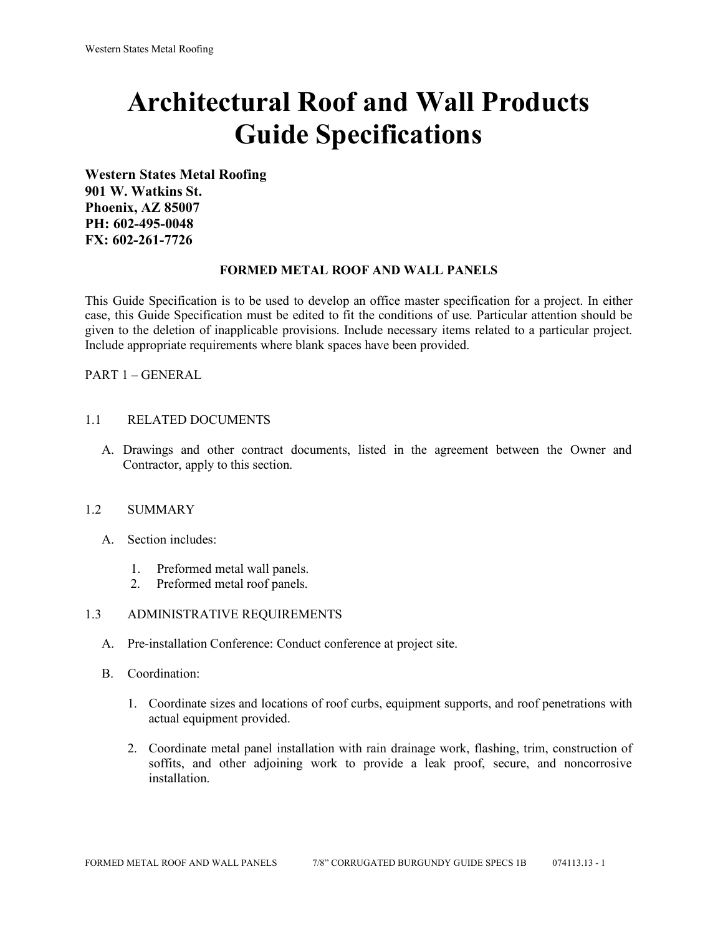# **Architectural Roof and Wall Products Guide Specifications**

**Western States Metal Roofing 901 W. Watkins St. Phoenix, AZ 85007 PH: 602-495-0048 FX: 602-261-7726**

### **FORMED METAL ROOF AND WALL PANELS**

This Guide Specification is to be used to develop an office master specification for a project. In either case, this Guide Specification must be edited to fit the conditions of use. Particular attention should be given to the deletion of inapplicable provisions. Include necessary items related to a particular project. Include appropriate requirements where blank spaces have been provided.

PART 1 – GENERAL

### 1.1 RELATED DOCUMENTS

A. Drawings and other contract documents, listed in the agreement between the Owner and Contractor, apply to this section.

#### 1.2 SUMMARY

- A. Section includes:
	- 1. Preformed metal wall panels.
	- 2. Preformed metal roof panels.

#### 1.3 ADMINISTRATIVE REQUIREMENTS

- A. Pre-installation Conference: Conduct conference at project site.
- B. Coordination:
	- 1. Coordinate sizes and locations of roof curbs, equipment supports, and roof penetrations with actual equipment provided.
	- 2. Coordinate metal panel installation with rain drainage work, flashing, trim, construction of soffits, and other adjoining work to provide a leak proof, secure, and noncorrosive installation.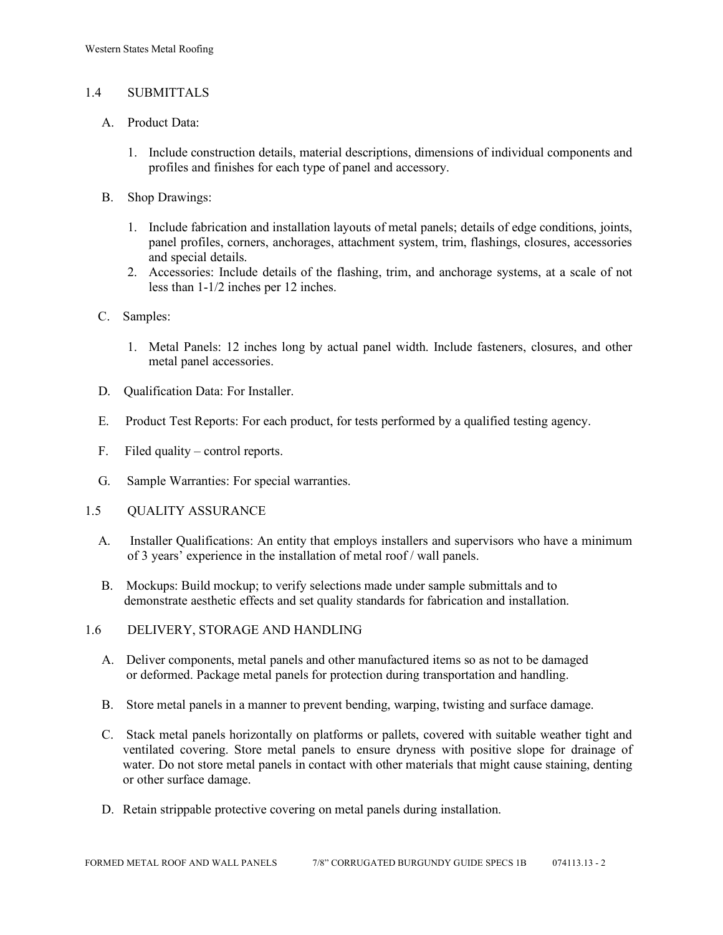# 1.4 SUBMITTALS

- A. Product Data:
	- 1. Include construction details, material descriptions, dimensions of individual components and profiles and finishes for each type of panel and accessory.
- B. Shop Drawings:
	- 1. Include fabrication and installation layouts of metal panels; details of edge conditions, joints, panel profiles, corners, anchorages, attachment system, trim, flashings, closures, accessories and special details.
	- 2. Accessories: Include details of the flashing, trim, and anchorage systems, at a scale of not less than 1-1/2 inches per 12 inches.
- C. Samples:
	- 1. Metal Panels: 12 inches long by actual panel width. Include fasteners, closures, and other metal panel accessories.
- D. Qualification Data: For Installer.
- E. Product Test Reports: For each product, for tests performed by a qualified testing agency.
- F. Filed quality control reports.
- G. Sample Warranties: For special warranties.
- 1.5 QUALITY ASSURANCE
	- A. Installer Qualifications: An entity that employs installers and supervisors who have a minimum of 3 years' experience in the installation of metal roof / wall panels.
	- B. Mockups: Build mockup; to verify selections made under sample submittals and to demonstrate aesthetic effects and set quality standards for fabrication and installation.
- 1.6 DELIVERY, STORAGE AND HANDLING
	- A. Deliver components, metal panels and other manufactured items so as not to be damaged or deformed. Package metal panels for protection during transportation and handling.
	- B. Store metal panels in a manner to prevent bending, warping, twisting and surface damage.
	- C. Stack metal panels horizontally on platforms or pallets, covered with suitable weather tight and ventilated covering. Store metal panels to ensure dryness with positive slope for drainage of water. Do not store metal panels in contact with other materials that might cause staining, denting or other surface damage.
	- D. Retain strippable protective covering on metal panels during installation.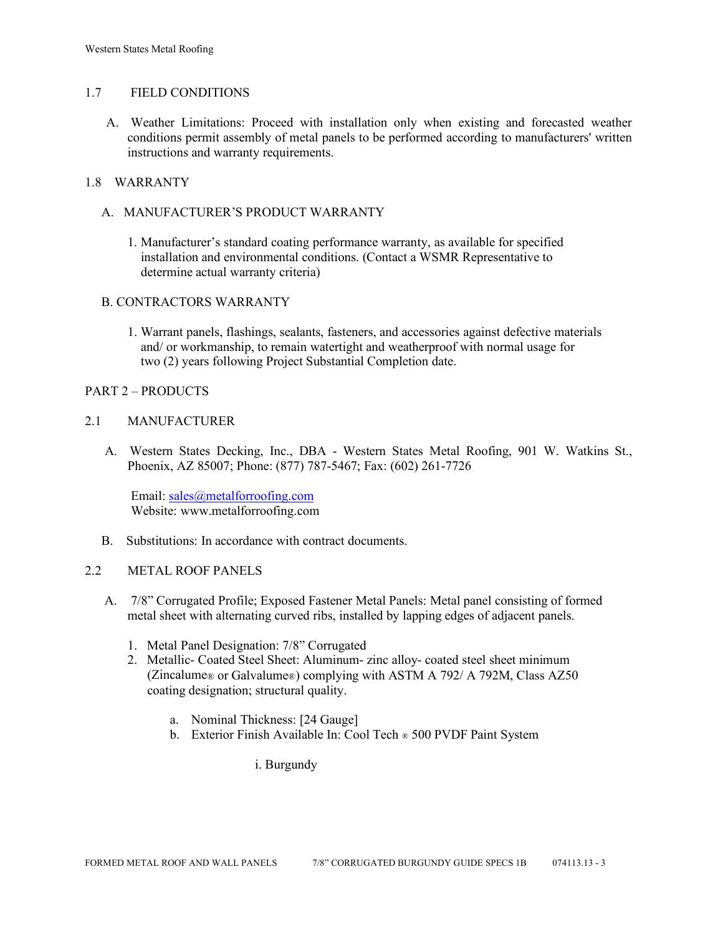### 1.7 FIELD CONDITIONS

A. Weather Limitations: Proceed with installation only when existing and forecasted weather conditions permit assembly of metal panels to be performed according to manufacturers' written instructions and warranty requirements.

# 1.8 WARRANTY

- A. MANUFACTURER'S PRODUCT WARRANTY
	- 1. Manufacturer's standard coating performance warranty, as available for specified installation and environmental conditions. (Contact a WSMR Representative to determine actual warranty criteria)

# B. CONTRACTORS WARRANTY

1. Warrant panels, flashings, sealants, fasteners, and accessories against defective materials and/ or workmanship, to remain watertight and weatherproof with normal usage for two (2) years following Project Substantial Completion date.

### PART 2 – PRODUCTS

### 2.1 MANUFACTURER

 A. Western States Decking, Inc., DBA - Western States Metal Roofing, 901 W. Watkins St., Phoenix, AZ 85007; Phone: (877) 787-5467; Fax: (602) 261-7726

Email: [sales@metalforroofing.com](mailto:sales@metalforroofing.com) Website: www.metalforroofing.com

B. Substitutions: In accordance with contract documents.

#### 2.2 METAL ROOF PANELS

- A. 7/8" Corrugated Profile; Exposed Fastener Metal Panels: Metal panel consisting of formed metal sheet with alternating curved ribs, installed by lapping edges of adjacent panels.
	- 1. Metal Panel Designation: 7/8" Corrugated
	- 2. Metallic- Coated Steel Sheet: Aluminum- zinc alloy- coated steel sheet minimum (Zincalume® or Galvalume®) complying with ASTM A 792/ A 792M, Class AZ50 coating designation; structural quality.
		- a. Nominal Thickness: [24 Gauge]
		- b. Exterior Finish Available In: Cool Tech ® 500 PVDF Paint System

i. Burgundy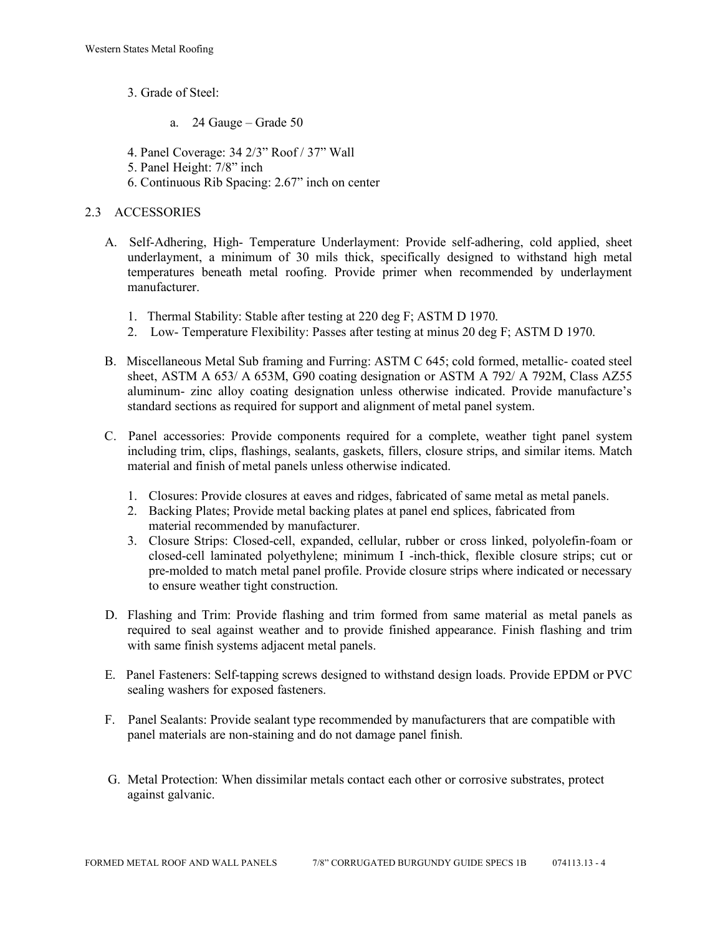- 3. Grade of Steel:
	- a. 24 Gauge Grade 50
- 4. Panel Coverage: 34 2/3" Roof / 37" Wall
- 5. Panel Height: 7/8" inch
- 6. Continuous Rib Spacing: 2.67" inch on center

# 2.3 ACCESSORIES

- A. Self-Adhering, High- Temperature Underlayment: Provide self-adhering, cold applied, sheet underlayment, a minimum of 30 mils thick, specifically designed to withstand high metal temperatures beneath metal roofing. Provide primer when recommended by underlayment manufacturer.
	- 1. Thermal Stability: Stable after testing at 220 deg F; ASTM D 1970.
	- 2. Low- Temperature Flexibility: Passes after testing at minus 20 deg F; ASTM D 1970.
- B. Miscellaneous Metal Sub framing and Furring: ASTM C 645; cold formed, metallic- coated steel sheet, ASTM A 653/ A 653M, G90 coating designation or ASTM A 792/ A 792M, Class AZ55 aluminum- zinc alloy coating designation unless otherwise indicated. Provide manufacture's standard sections as required for support and alignment of metal panel system.
- C. Panel accessories: Provide components required for a complete, weather tight panel system including trim, clips, flashings, sealants, gaskets, fillers, closure strips, and similar items. Match material and finish of metal panels unless otherwise indicated.
	- 1. Closures: Provide closures at eaves and ridges, fabricated of same metal as metal panels.
	- 2. Backing Plates; Provide metal backing plates at panel end splices, fabricated from material recommended by manufacturer.
	- 3. Closure Strips: Closed-cell, expanded, cellular, rubber or cross linked, polyolefin-foam or closed-cell laminated polyethylene; minimum I -inch-thick, flexible closure strips; cut or pre-molded to match metal panel profile. Provide closure strips where indicated or necessary to ensure weather tight construction.
- D. Flashing and Trim: Provide flashing and trim formed from same material as metal panels as required to seal against weather and to provide finished appearance. Finish flashing and trim with same finish systems adjacent metal panels.
- E. Panel Fasteners: Self-tapping screws designed to withstand design loads. Provide EPDM or PVC sealing washers for exposed fasteners.
- F. Panel Sealants: Provide sealant type recommended by manufacturers that are compatible with panel materials are non-staining and do not damage panel finish.
- G. Metal Protection: When dissimilar metals contact each other or corrosive substrates, protect against galvanic.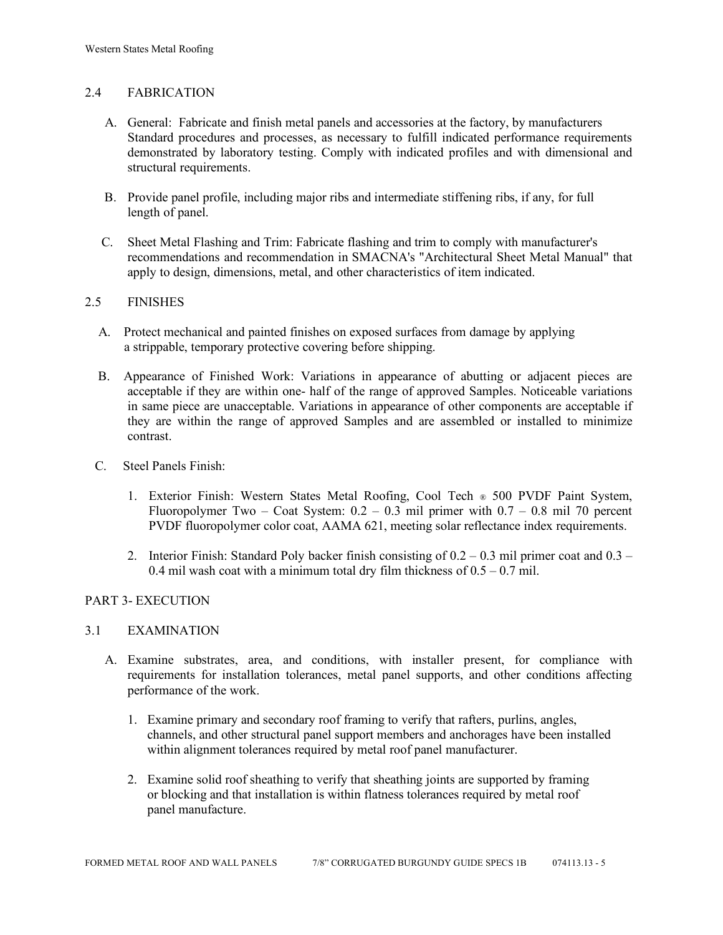# 2.4 FABRICATION

- A. General: Fabricate and finish metal panels and accessories at the factory, by manufacturers Standard procedures and processes, as necessary to fulfill indicated performance requirements demonstrated by laboratory testing. Comply with indicated profiles and with dimensional and structural requirements.
- B. Provide panel profile, including major ribs and intermediate stiffening ribs, if any, for full length of panel.
- C. Sheet Metal Flashing and Trim: Fabricate flashing and trim to comply with manufacturer's recommendations and recommendation in SMACNA's "Architectural Sheet Metal Manual" that apply to design, dimensions, metal, and other characteristics of item indicated.

# 2.5 FINISHES

- A. Protect mechanical and painted finishes on exposed surfaces from damage by applying a strippable, temporary protective covering before shipping.
- B. Appearance of Finished Work: Variations in appearance of abutting or adjacent pieces are acceptable if they are within one- half of the range of approved Samples. Noticeable variations in same piece are unacceptable. Variations in appearance of other components are acceptable if they are within the range of approved Samples and are assembled or installed to minimize contrast.
- C. Steel Panels Finish:
	- 1. Exterior Finish: Western States Metal Roofing, Cool Tech ® 500 PVDF Paint System, Fluoropolymer Two – Coat System:  $0.2 - 0.3$  mil primer with  $0.7 - 0.8$  mil 70 percent PVDF fluoropolymer color coat, AAMA 621, meeting solar reflectance index requirements.
	- 2. Interior Finish: Standard Poly backer finish consisting of  $0.2 0.3$  mil primer coat and  $0.3 -$ 0.4 mil wash coat with a minimum total dry film thickness of  $0.5 - 0.7$  mil.

# PART 3- EXECUTION

#### 3.1 EXAMINATION

- A. Examine substrates, area, and conditions, with installer present, for compliance with requirements for installation tolerances, metal panel supports, and other conditions affecting performance of the work.
	- 1. Examine primary and secondary roof framing to verify that rafters, purlins, angles, channels, and other structural panel support members and anchorages have been installed within alignment tolerances required by metal roof panel manufacturer.
	- 2. Examine solid roof sheathing to verify that sheathing joints are supported by framing or blocking and that installation is within flatness tolerances required by metal roof panel manufacture.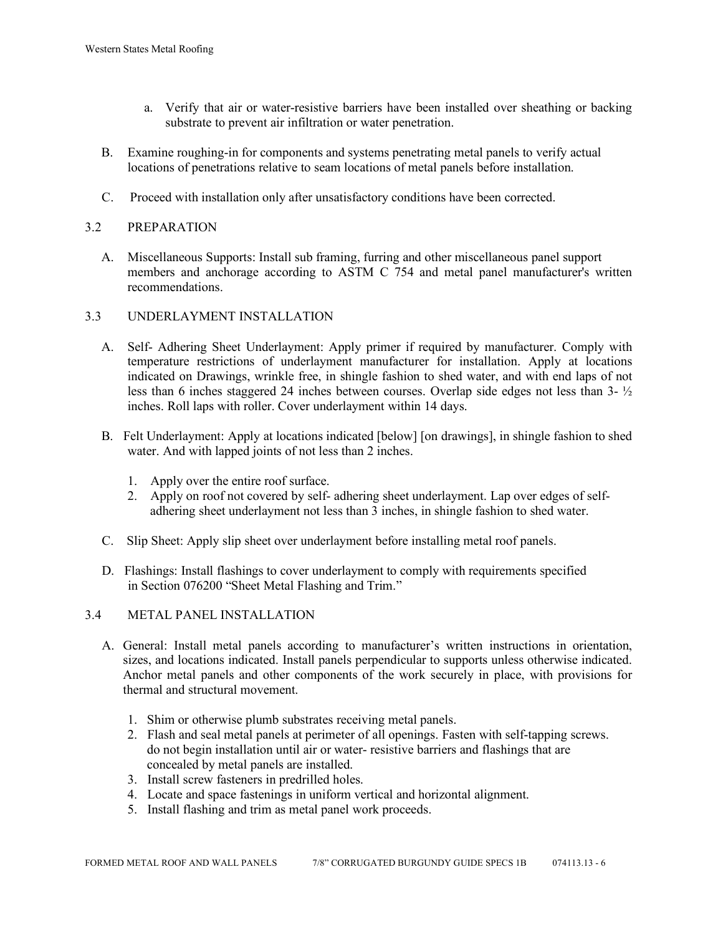- a. Verify that air or water-resistive barriers have been installed over sheathing or backing substrate to prevent air infiltration or water penetration.
- B. Examine roughing-in for components and systems penetrating metal panels to verify actual locations of penetrations relative to seam locations of metal panels before installation.
- C. Proceed with installation only after unsatisfactory conditions have been corrected.

# 3.2 PREPARATION

 A. Miscellaneous Supports: Install sub framing, furring and other miscellaneous panel support members and anchorage according to ASTM C 754 and metal panel manufacturer's written recommendations.

### 3.3 UNDERLAYMENT INSTALLATION

- A. Self- Adhering Sheet Underlayment: Apply primer if required by manufacturer. Comply with temperature restrictions of underlayment manufacturer for installation. Apply at locations indicated on Drawings, wrinkle free, in shingle fashion to shed water, and with end laps of not less than 6 inches staggered 24 inches between courses. Overlap side edges not less than 3- ½ inches. Roll laps with roller. Cover underlayment within 14 days.
- B. Felt Underlayment: Apply at locations indicated [below] [on drawings], in shingle fashion to shed water. And with lapped joints of not less than 2 inches.
	- 1. Apply over the entire roof surface.
	- 2. Apply on roof not covered by self- adhering sheet underlayment. Lap over edges of self adhering sheet underlayment not less than 3 inches, in shingle fashion to shed water.
- C. Slip Sheet: Apply slip sheet over underlayment before installing metal roof panels.
- D. Flashings: Install flashings to cover underlayment to comply with requirements specified in Section 076200 "Sheet Metal Flashing and Trim."

#### 3.4 METAL PANEL INSTALLATION

- A. General: Install metal panels according to manufacturer's written instructions in orientation, sizes, and locations indicated. Install panels perpendicular to supports unless otherwise indicated. Anchor metal panels and other components of the work securely in place, with provisions for thermal and structural movement.
	- 1. Shim or otherwise plumb substrates receiving metal panels.
	- 2. Flash and seal metal panels at perimeter of all openings. Fasten with self-tapping screws. do not begin installation until air or water- resistive barriers and flashings that are concealed by metal panels are installed.
	- 3. Install screw fasteners in predrilled holes.
	- 4. Locate and space fastenings in uniform vertical and horizontal alignment.
	- 5. Install flashing and trim as metal panel work proceeds.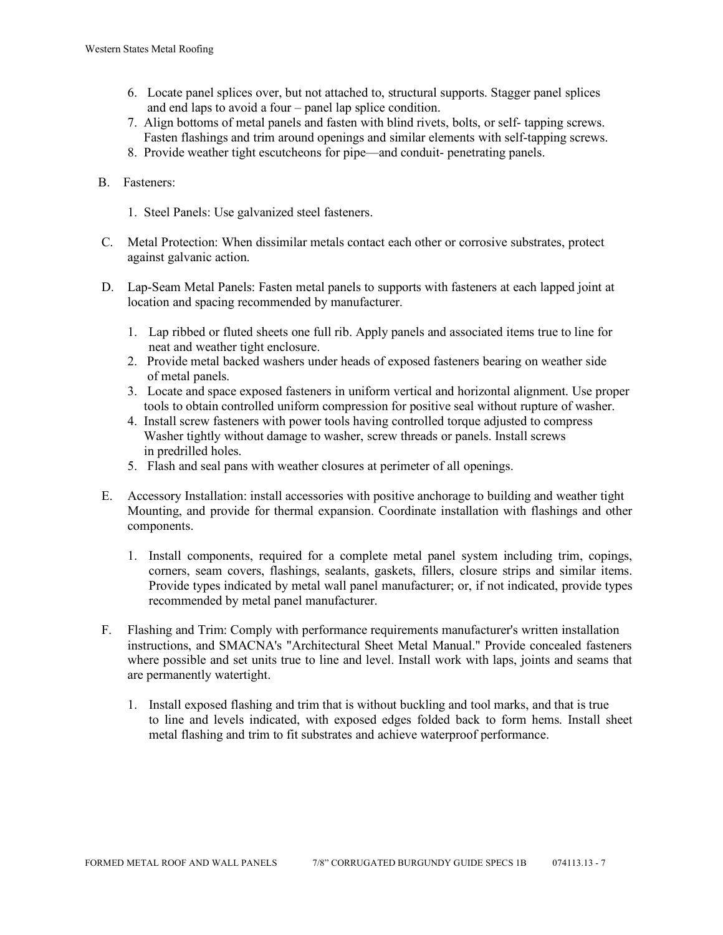- 6. Locate panel splices over, but not attached to, structural supports. Stagger panel splices and end laps to avoid a four – panel lap splice condition.
- 7. Align bottoms of metal panels and fasten with blind rivets, bolts, or self- tapping screws. Fasten flashings and trim around openings and similar elements with self-tapping screws.
- 8. Provide weather tight escutcheons for pipe—and conduit- penetrating panels.
- B. Fasteners:
	- 1. Steel Panels: Use galvanized steel fasteners.
- C. Metal Protection: When dissimilar metals contact each other or corrosive substrates, protect against galvanic action.
- D. Lap-Seam Metal Panels: Fasten metal panels to supports with fasteners at each lapped joint at location and spacing recommended by manufacturer.
	- 1. Lap ribbed or fluted sheets one full rib. Apply panels and associated items true to line for neat and weather tight enclosure.
	- 2. Provide metal backed washers under heads of exposed fasteners bearing on weather side of metal panels.
	- 3. Locate and space exposed fasteners in uniform vertical and horizontal alignment. Use proper tools to obtain controlled uniform compression for positive seal without rupture of washer.
	- 4. Install screw fasteners with power tools having controlled torque adjusted to compress Washer tightly without damage to washer, screw threads or panels. Install screws in predrilled holes.
	- 5. Flash and seal pans with weather closures at perimeter of all openings.
- E. Accessory Installation: install accessories with positive anchorage to building and weather tight Mounting, and provide for thermal expansion. Coordinate installation with flashings and other components.
	- 1. Install components, required for a complete metal panel system including trim, copings, corners, seam covers, flashings, sealants, gaskets, fillers, closure strips and similar items. Provide types indicated by metal wall panel manufacturer; or, if not indicated, provide types recommended by metal panel manufacturer.
- F. Flashing and Trim: Comply with performance requirements manufacturer's written installation instructions, and SMACNA's "Architectural Sheet Metal Manual." Provide concealed fasteners where possible and set units true to line and level. Install work with laps, joints and seams that are permanently watertight.
	- 1. Install exposed flashing and trim that is without buckling and tool marks, and that is true to line and levels indicated, with exposed edges folded back to form hems. Install sheet metal flashing and trim to fit substrates and achieve waterproof performance.